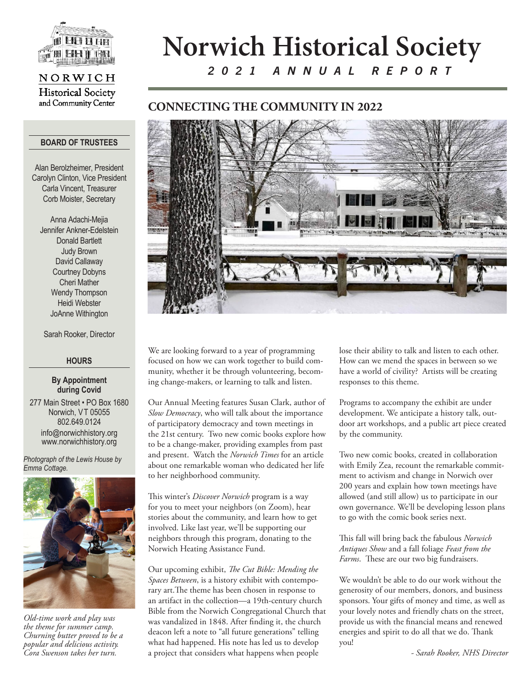

## NORWICH **Historical Society** and Community Center

#### **BOARD OF TRUSTEES**

Alan Berolzheimer, President Carolyn Clinton, Vice President Carla Vincent, Treasurer Corb Moister, Secretary

Anna Adachi-Mejia Jennifer Ankner-Edelstein Donald Bartlett Judy Brown David Callaway Courtney Dobyns Cheri Mather Wendy Thompson Heidi Webster JoAnne Withington

Sarah Rooker, Director

### **HOURS**

#### **By Appointment during Covid**

277 Main Street • PO Box 1680 Norwich, VT 05055 802.649.0124 info@norwichhistory.org www.norwichhistory.org

*Photograph of the Lewis House by Emma Cottage.*



*Old-time work and play was the theme for summer camp. Churning butter proved to be a popular and delicious activity. Cora Swenson takes her turn.* 

# **Norwich Historical Society** *2021 ANNUAL REPORT*

# **CONNECTING THE COMMUNITY IN 2022**



We are looking forward to a year of programming focused on how we can work together to build community, whether it be through volunteering, becoming change-makers, or learning to talk and listen.

Our Annual Meeting features Susan Clark, author of *Slow Democracy*, who will talk about the importance of participatory democracy and town meetings in the 21st century. Two new comic books explore how to be a change-maker, providing examples from past and present. Watch the *Norwich Times* for an article about one remarkable woman who dedicated her life to her neighborhood community.

This winter's *Discover Norwich* program is a way for you to meet your neighbors (on Zoom), hear stories about the community, and learn how to get involved. Like last year, we'll be supporting our neighbors through this program, donating to the Norwich Heating Assistance Fund.

Our upcoming exhibit, *The Cut Bible: Mending the Spaces Between*, is a history exhibit with contemporary art.The theme has been chosen in response to an artifact in the collection—a 19th-century church Bible from the Norwich Congregational Church that was vandalized in 1848. After finding it, the church deacon left a note to "all future generations" telling what had happened. His note has led us to develop a project that considers what happens when people

lose their ability to talk and listen to each other. How can we mend the spaces in between so we have a world of civility? Artists will be creating responses to this theme.

Programs to accompany the exhibit are under development. We anticipate a history talk, outdoor art workshops, and a public art piece created by the community.

Two new comic books, created in collaboration with Emily Zea, recount the remarkable commitment to activism and change in Norwich over 200 years and explain how town meetings have allowed (and still allow) us to participate in our own governance. We'll be developing lesson plans to go with the comic book series next.

This fall will bring back the fabulous *Norwich Antiques Show* and a fall foliage *Feast from the Farms*. These are our two big fundraisers.

We wouldn't be able to do our work without the generosity of our members, donors, and business sponsors. Your gifts of money and time, as well as your lovely notes and friendly chats on the street, provide us with the financial means and renewed energies and spirit to do all that we do. Thank you!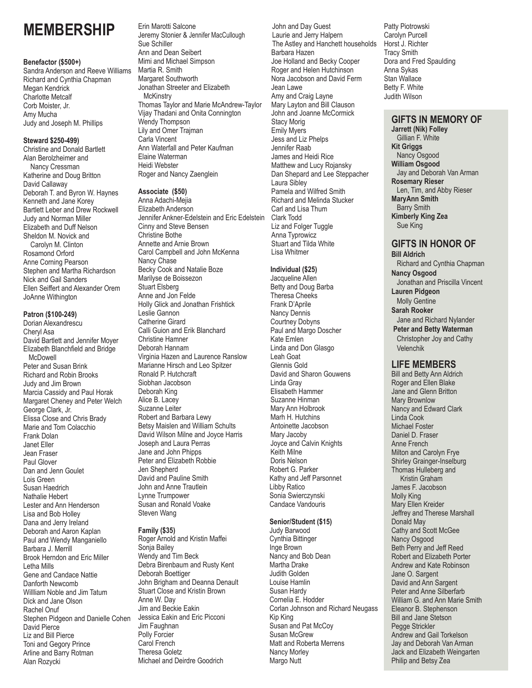# **MEMBERSHIP**

### **Benefactor (\$500+)**

Sandra Anderson and Reeve Williams Richard and Cynthia Chapman Megan Kendrick Charlotte Metcalf Corb Moister, Jr. Amy Mucha Judy and Joseph M. Phillips

#### **Steward \$250-499)**

Christine and Donald Bartlett Alan Berolzheimer and Nancy Cressman Katherine and Doug Britton David Callaway Deborah T. and Byron W. Haynes Kenneth and Jane Korey Bartlett Leber and Drew Rockwell Judy and Norman Miller Elizabeth and Duff Nelson Sheldon M. Novick and Carolyn M. Clinton Rosamond Orford Anne Corning Pearson Stephen and Martha Richardson Nick and Gail Sanders Ellen Seiffert and Alexander Orem JoAnne Withington

## **Patron (\$100-249)**

Dorian Alexandrescu Cheryl Asa David Bartlett and Jennifer Moyer Elizabeth Blanchfield and Bridge McDowell Peter and Susan Brink Richard and Robin Brooks Judy and Jim Brown Marcia Cassidy and Paul Horak Margaret Cheney and Peter Welch George Clark, Jr. Elissa Close and Chris Brady Marie and Tom Colacchio Frank Dolan Janet Eller Jean Fraser Paul Glover Dan and Jenn Goulet Lois Green Susan Haedrich Nathalie Hebert Lester and Ann Henderson Lisa and Bob Holley Dana and Jerry Ireland Deborah and Aaron Kaplan Paul and Wendy Manganiello Barbara J. Merrill Brook Herndon and Eric Miller Letha Mills Gene and Candace Nattie Danforth Newcomb Willliam Noble and Jim Tatum Dick and Jane Olson Rachel Onuf Stephen Pidgeon and Danielle Cohen David Pierce Liz and Bill Pierce Toni and Gegory Prince Arline and Barry Rotman Alan Rozycki

Erin Marotti Salcone Jeremy Stonier & Jennifer MacCullough Sue Schiller Ann and Dean Seibert Mimi and Michael Simpson Martia R. Smith Margaret Southworth Jonathan Streeter and Elizabeth **McKinstrv** Thomas Taylor and Marie McAndrew-Taylor Vijay Thadani and Onita Connington Wendy Thompson Lily and Omer Trajman Carla Vincent Ann Waterfall and Peter Kaufman Elaine Waterman Heidi Webster Roger and Nancy Zaenglein

## **Associate (\$50)**

Anna Adachi-Mejia Elizabeth Anderson Jennifer Ankner-Edelstein and Eric Edelstein Cinny and Steve Bensen Christine Bothe Annette and Arnie Brown Carol Campbell and John McKenna Nancy Chase Becky Cook and Natalie Boze Marilyse de Boissezon Stuart Elsberg Anne and Jon Felde Holly Glick and Jonathan Frishtick Leslie Gannon Catherine Girard Calli Guion and Erik Blanchard Christine Hamner Deborah Hannam Virginia Hazen and Laurence Ranslow Marianne Hirsch and Leo Spitzer Ronald P. Hutchcraft Siobhan Jacobson Deborah King Alice B. Lacey Suzanne Leiter Robert and Barbara Lewy Betsy Maislen and William Schults David Wilson Milne and Joyce Harris Joseph and Laura Perras Jane and John Phipps Peter and Elizabeth Robbie Jen Shepherd David and Pauline Smith John and Anne Trautlein Lynne Trumpower Susan and Ronald Voake Steven Wang

### **Family (\$35)**

Roger Arnold and Kristin Maffei Sonja Bailey Wendy and Tim Beck Debra Birenbaum and Rusty Kent Deborah Boettiger John Brigham and Deanna Denault Stuart Close and Kristin Brown Anne W. Day Jim and Beckie Eakin Jessica Eakin and Eric Picconi Jim Faughnan Polly Forcier Carol French Theresa Goletz Michael and Deirdre Goodrich

John and Day Guest Laurie and Jerry Halpern The Astley and Hanchett households Barbara Hazen Joe Holland and Becky Cooper Roger and Helen Hutchinson Nora Jacobson and David Ferm Jean Lawe Amy and Craig Layne Mary Layton and Bill Clauson John and Joanne McCormick Stacy Morig Emily Myers Jess and Liz Phelps Jennifer Raab James and Heidi Rice Matthew and Lucy Rojansky Dan Shepard and Lee Steppacher Laura Sibley Pamela and Wilfred Smith Richard and Melinda Stucker Carl and Lisa Thum Clark Todd Liz and Folger Tuggle Anna Typrowicz Stuart and Tilda White Lisa Whitmer

## **Individual (\$25)**

Jacqueline Allen Betty and Doug Barba Theresa Cheeks Frank D'Aprile Nancy Dennis Courtney Dobyns Paul and Margo Doscher Kate Emlen Linda and Don Glasgo Leah Goat Glennis Gold David and Sharon Gouwens Linda Gray Elisabeth Hammer Suzanne Hinman Mary Ann Holbrook Marh H. Hutchins Antoinette Jacobson Mary Jacoby Joyce and Calvin Knights Keith Milne Doris Nelson Robert G. Parker Kathy and Jeff Parsonnet Libby Ratico Sonia Swierczynski Candace Vandouris

## **Senior/Student (\$15)**

Judy Barwood Cynthia Bittinger Inge Brown Nancy and Bob Dean Martha Drake Judith Golden Louise Hamlin Susan Hardy Cornelia E. Hodder Corlan Johnson and Richard Neugass Kip King Susan and Pat McCoy Susan McGrew Matt and Roberta Merrens Nancy Morley Margo Nutt

Patty Piotrowski Carolyn Purcell Horst J. Richter Tracy Smith Dora and Fred Spaulding Anna Sykas Stan Wallace Betty F. White Judith Wilson

## **GIFTS IN MEMORY OF**

**Jarrett (Nik) Folley** Gillian F. White **Kit Griggs** Nancy Osgood **William Osgood** Jay and Deborah Van Arman **Rosemary Rieser** Len, Tim, and Abby Rieser **MaryAnn Smith** Barry Smith **Kimberly King Zea** Sue King

# **GIFTS IN HONOR OF**

**Bill Aldrich** Richard and Cynthia Chapman **Nancy Osgood** Jonathan and Priscilla Vincent **Lauren Pidgeon** Molly Gentine **Sarah Rooker** Jane and Richard Nylander **Peter and Betty Waterman** Christopher Joy and Cathy Velenchik

## **LIFE MEMBERS**

Bill and Betty Ann Aldrich Roger and Ellen Blake Jane and Glenn Britton Mary Brownlow Nancy and Edward Clark Linda Cook Michael Foster Daniel D. Fraser Anne French Milton and Carolyn Frye Shirley Grainger-Inselburg Thomas Hulleberg and Kristin Graham James F. Jacobson Molly King Mary Ellen Kreider Jeffrey and Therese Marshall Donald May Cathy and Scott McGee Nancy Osgood Beth Perry and Jeff Reed Robert and Elizabeth Porter Andrew and Kate Robinson Jane O. Sargent David and Ann Sargent Peter and Anne Silberfarb William G. and Ann Marie Smith Eleanor B. Stephenson Bill and Jane Stetson Pegge Strickler Andrew and Gail Torkelson Jay and Deborah Van Arman Jack and Elizabeth Weingarten Philip and Betsy Zea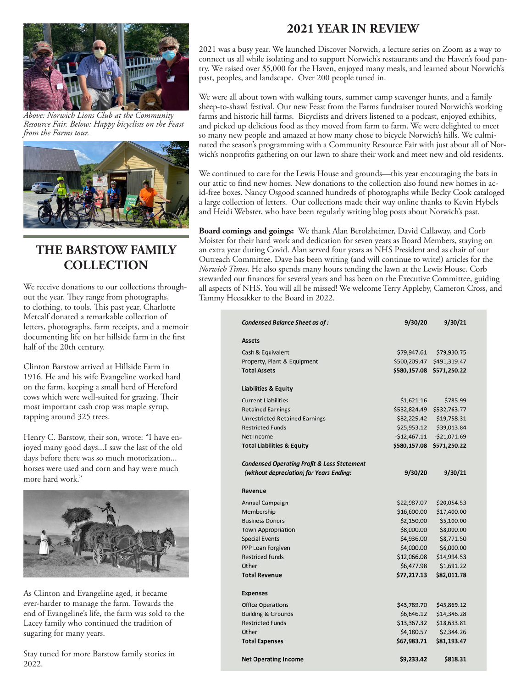

*Above: Norwich Lions Club at the Community Resource Fair. Below: Happy bicyclists on the Feast from the Farms tour.*



# **THE BARSTOW FAMILY COLLECTION**

We receive donations to our collections throughout the year. They range from photographs, to clothing, to tools. This past year, Charlotte Metcalf donated a remarkable collection of letters, photographs, farm receipts, and a memoir documenting life on her hillside farm in the first half of the 20th century.

Clinton Barstow arrived at Hillside Farm in 1916. He and his wife Evangeline worked hard on the farm, keeping a small herd of Hereford cows which were well-suited for grazing. Their most important cash crop was maple syrup, tapping around 325 trees.

Henry C. Barstow, their son, wrote: "I have enjoyed many good days...I saw the last of the old days before there was so much motorization... horses were used and corn and hay were much more hard work."



As Clinton and Evangeline aged, it became ever-harder to manage the farm. Towards the end of Evangeline's life, the farm was sold to the Lacey family who continued the tradition of sugaring for many years.

Stay tuned for more Barstow family stories in 2022.

# **2021 YEAR IN REVIEW**

2021 was a busy year. We launched Discover Norwich, a lecture series on Zoom as a way to connect us all while isolating and to support Norwich's restaurants and the Haven's food pantry. We raised over \$5,000 for the Haven, enjoyed many meals, and learned about Norwich's past, peoples, and landscape. Over 200 people tuned in.

We were all about town with walking tours, summer camp scavenger hunts, and a family sheep-to-shawl festival. Our new Feast from the Farms fundraiser toured Norwich's working farms and historic hill farms. Bicyclists and drivers listened to a podcast, enjoyed exhibits, and picked up delicious food as they moved from farm to farm. We were delighted to meet so many new people and amazed at how many chose to bicycle Norwich's hills. We culminated the season's programming with a Community Resource Fair with just about all of Norwich's nonprofits gathering on our lawn to share their work and meet new and old residents.

We continued to care for the Lewis House and grounds—this year encouraging the bats in our attic to find new homes. New donations to the collection also found new homes in acid-free boxes. Nancy Osgood scanned hundreds of photographs while Becky Cook cataloged a large collection of letters. Our collections made their way online thanks to Kevin Hybels and Heidi Webster, who have been regularly writing blog posts about Norwich's past.

**Board comings and goings:** We thank Alan Berolzheimer, David Callaway, and Corb Moister for their hard work and dedication for seven years as Board Members, staying on an extra year during Covid. Alan served four years as NHS President and as chair of our Outreach Committee. Dave has been writing (and will continue to write!) articles for the *Norwich Times*. He also spends many hours tending the lawn at the Lewis House. Corb stewarded our finances for several years and has been on the Executive Committee, guiding all aspects of NHS. You will all be missed! We welcome Terry Appleby, Cameron Cross, and Tammy Heesakker to the Board in 2022.

| <b>Condensed Balance Sheet as of:</b>                  | 9/30/20       | 9/30/21       |
|--------------------------------------------------------|---------------|---------------|
| <b>Assets</b>                                          |               |               |
| Cash & Equivalent                                      | \$79,947.61   | \$79,930.75   |
| Property, Plant & Equipment                            | \$500,209.47  | \$491,319.47  |
| <b>Total Assets</b>                                    | \$580,157.08  | \$571,250.22  |
| <b>Liabilities &amp; Equity</b>                        |               |               |
| <b>Current Liabilities</b>                             | \$1,621.16    | \$785.99      |
| <b>Retained Earnings</b>                               | \$532,824.49  | \$532,763.77  |
| <b>Unrestricted Retained Earnings</b>                  | \$32,225.42   | \$19,758.31   |
| <b>Restricted Funds</b>                                | \$25,953.12   | \$39,013.84   |
| Net Income                                             | $-$12,467.11$ | $-521,071.69$ |
| <b>Total Liabilities &amp; Equity</b>                  | \$580,157.08  | \$571,250.22  |
| <b>Condensed Operating Profit &amp; Loss Statement</b> |               |               |
| (without depreciation) for Years Ending:               | 9/30/20       | 9/30/21       |
| <b>Revenue</b>                                         |               |               |
| Annual Campaign                                        | \$22,987.07   | \$20,054.53   |
| Membership                                             | \$16,600.00   | \$17,400.00   |
| <b>Business Donors</b>                                 | \$2,150.00    | \$5,100.00    |
| <b>Town Appropriation</b>                              | \$8,000.00    | \$8,000.00    |
| <b>Special Events</b>                                  | \$4,936.00    | \$8,771.50    |
| PPP Loan Forgiven                                      | \$4,000.00    | \$6,000.00    |
| <b>Restriced Funds</b>                                 | \$12,066.08   | \$14,994.53   |
| Other                                                  | \$6,477.98    | \$1,691.22    |
| <b>Total Revenue</b>                                   | \$77,217.13   | \$82,011.78   |
| <b>Expenses</b>                                        |               |               |
| <b>Office Operations</b>                               | \$43,789.70   | \$45,869.12   |
| <b>Building &amp; Grounds</b>                          | \$6,646.12    | \$14,346.28   |
| <b>Restricted Funds</b>                                | \$13,367.32   | \$18,633.81   |
| Other                                                  | \$4,180.57    | \$2,344.26    |
| <b>Total Expenses</b>                                  | \$67,983.71   | \$81,193.47   |
| <b>Net Operating Income</b>                            | \$9,233.42    | \$818.31      |